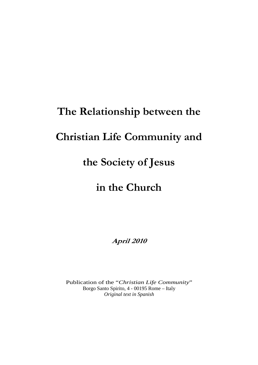# **The Relationship between the**

# **Christian Life Community and**

# **the Society of Jesus**

# **in the Church**

**April 2010** 

Publication of the "*Christian Life Community*" Borgo Santo Spirito, 4 - 00195 Rome – Italy *Original text in Spanish*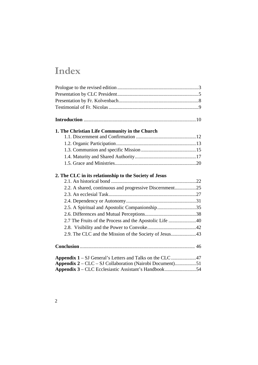# **Index**

| 1. The Christian Life Community in the Church            |  |
|----------------------------------------------------------|--|
|                                                          |  |
|                                                          |  |
|                                                          |  |
|                                                          |  |
|                                                          |  |
|                                                          |  |
| 2. The CLC in its relationship to the Society of Jesus   |  |
|                                                          |  |
| 2.2. A shared, continuous and progressive Discernment25  |  |
|                                                          |  |
|                                                          |  |
| 2.5. A Spiritual and Apostolic Companionship35           |  |
|                                                          |  |
| 2.7 The Fruits of the Process and the Apostolic Life 40  |  |
|                                                          |  |
| 2.9. The CLC and the Mission of the Society of Jesus43   |  |
|                                                          |  |
|                                                          |  |
|                                                          |  |
| Appendix 1 – SJ General's Letters and Talks on the CLC47 |  |
| Appendix 2 - CLC - SJ Collaboration (Nairobi Document)51 |  |
| Appendix 3 – CLC Ecclesiastic Assistant's Handbook54     |  |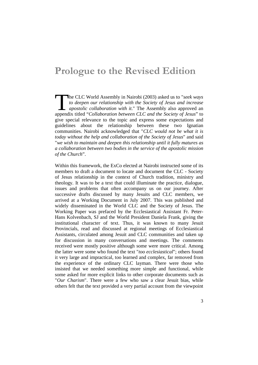### **Prologue to the Revised Edition**

he CLC World Assembly in Nairobi (2003) asked us to "*seek ways to deepen our relationship with the Society of Jesus and increase apostolic collaboration with it*." The Assembly also approved an The CLC World Assembly in Nairobi (2003) asked us to "*seek ways* to deepen our relationship with the Society of Jesus and increase apostolic collaboration with it." The Assembly also approved an appendix titled "Collabora give special relevance to the topic and express some expectations and guidelines about the relationship between these two Ignatian communities. Nairobi acknowledged that "*CLC would not be what it is today without the help and collaboration of the Society of Jesus*" and said "*we wish to maintain and deepen this relationship until it fully matures as a collaboration between two bodies in the service of the apostolic mission of the Church*".

Within this framework, the ExCo elected at Nairobi instructed some of its members to draft a document to locate and document the CLC - Society of Jesus relationship in the context of Church tradition, ministry and theology. It was to be a text that could illuminate the practice, dialogue, issues and problems that often accompany us on our journey. After successive drafts discussed by many Jesuits and CLC members, we arrived at a Working Document in July 2007. This was published and widely disseminated in the World CLC and the Society of Jesus. The Working Paper was prefaced by the Ecclesiastical Assistant Fr. Peter-Hans Kolvenbach, SJ and the World President Daniela Frank, giving the institutional character of text. Thus, it was known to many Jesuit Provincials, read and discussed at regional meetings of Ecclesiastical Assistants, circulated among Jesuit and CLC communities and taken up for discussion in many conversations and meetings. The comments received were mostly positive although some were more critical. Among the latter were some who found the text "*too ecclesiastical*"; others found it very large and impractical, too learned and complex, far removed from the experience of the ordinary CLC layman. There were those who insisted that we needed something more simple and functional, while some asked for more explicit links to other corporate documents such as "*Our Charism*". There were a few who saw a clear Jesuit bias, while others felt that the text provided a very partial account from the viewpoint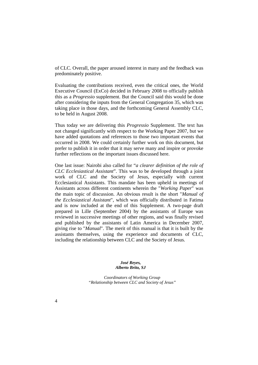of CLC. Overall, the paper aroused interest in many and the feedback was predominately positive.

Evaluating the contributions received, even the critical ones, the World Executive Council (ExCo) decided in February 2008 to officially publish this as a *Progressio* supplement. But the Council said this would be done after considering the inputs from the General Congregation 35, which was taking place in those days, and the forthcoming General Assembly CLC, to be held in August 2008.

Thus today we are delivering this *Progressio* Supplement. The text has not changed significantly with respect to the Working Paper 2007, but we have added quotations and references to those two important events that occurred in 2008. We could certainly further work on this document, but prefer to publish it in order that it may serve many and inspire or provoke further reflections on the important issues discussed here.

One last issue: Nairobi also called for "*a clearer definition of the role of CLC Ecclesiastical Assistant*". This was to be developed through a joint work of CLC and the Society of Jesus, especially with current Ecclesiastical Assistants. This mandate has been upheld in meetings of Assistants across different continents wherein the "*Working Paper*" was the main topic of discussion. An obvious result is the short "*Manual of the Ecclesiastical Assistant*", which was officially distributed in Fatima and is now included at the end of this Supplement. A two-page draft prepared in Lille (September 2004) by the assistants of Europe was reviewed in successive meetings of other regions, and was finally revised and published by the assistants of Latin America in December 2007, giving rise to "*Manual*". The merit of this manual is that it is built by the assistants themselves, using the experience and documents of CLC, including the relationship between CLC and the Society of Jesus.

> *José Reyes, Alberto Brito, SJ*

*Coordinators of Working Group "Relationship between CLC and Society of Jesus"*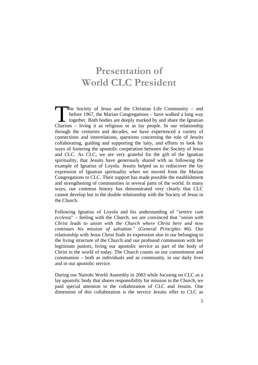# **Presentation of World CLC President**

he Society of Jesus and the Christian Life Community – and before 1967, the Marian Congregations – have walked a long way together. Both bodies are deeply marked by and share the Ignatian The Society of Jesus and the Christian Life Community – and before 1967, the Marian Congregations – have walked a long way together. Both bodies are deeply marked by and share the Ignatian Charism – living it as religious through the centuries and decades, we have experienced a variety of connections and interrelations, questions concerning the role of Jesuits collaborating, guiding and supporting the laity, and efforts to look for ways of fostering the apostolic cooperation between the Society of Jesus and CLC. As CLC, we are very grateful for the gift of the Ignatian spirituality, that Jesuits have generously shared with us following the example of Ignatius of Loyola. Jesuits helped us to rediscover the lay expression of Ignatian spirituality when we moved from the Marian Congregations to CLC. Their support has made possible the establishment and strengthening of communities in several parts of the world. In many ways, our common history has demonstrated very clearly that CLC cannot develop but in the double relationship with the Society of Jesus in the Church.

Following Ignatius of Loyola and his understanding of "*sentire cum ecclesia*" – feeling with the Church, we are convinced that "*union with Christ leads to union with the Church where Christ here and now continues his mission of salvation.*" (*General Principles* #6). Our relationship with Jesus Christ finds its expression also in our belonging to the living structure of the Church and our profound communion with her legitimate pastors, living our apostolic service as part of the body of Christ in the world of today. The Church counts on our commitment and communion – both as individuals and as community, in our daily lives and in our apostolic service.

During our Nairobi World Assembly in 2003 while focusing on CLC as a lay apostolic body that shares responsibility for mission in the Church, we paid special attention to the collaboration of CLC and Jesuits. One dimension of this collaboration is the service Jesuits offer to CLC as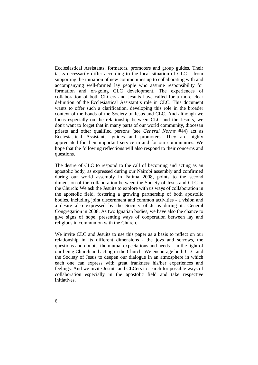Ecclesiastical Assistants, formators, promoters and group guides. Their tasks necessarily differ according to the local situation of CLC – from supporting the initiation of new communities up to collaborating with and accompanying well-formed lay people who assume responsibility for formation and on-going CLC development. The experiences of collaboration of both CLCers and Jesuits have called for a more clear definition of the Ecclesiastical Assistant's role in CLC. This document wants to offer such a clarification, developing this role in the broader context of the bonds of the Society of Jesus and CLC. And although we focus especially on the relationship between CLC and the Jesuits, we don't want to forget that in many parts of our world community, diocesan priests and other qualified persons (see *General Norms* #44) act as Ecclesiastical Assistants, guides and promoters. They are highly appreciated for their important service in and for our communities. We hope that the following reflections will also respond to their concerns and questions.

The desire of CLC to respond to the call of becoming and acting as an apostolic body, as expressed during our Nairobi assembly and confirmed during our world assembly in Fatima 2008, points to the second dimension of the collaboration between the Society of Jesus and CLC in the Church: We ask the Jesuits to explore with us ways of collaboration in the apostolic field, fostering a growing partnership of both apostolic bodies, including joint discernment and common activities - a vision and a desire also expressed by the Society of Jesus during its General Congregation in 2008. As two Ignatian bodies, we have also the chance to give signs of hope, presenting ways of cooperation between lay and religious in communion with the Church.

We invite CLC and Jesuits to use this paper as a basis to reflect on our relationship in its different dimensions - the joys and sorrows, the questions and doubts, the mutual expectations and needs – in the light of our being Church and acting in the Church*.* We encourage both CLC and the Society of Jesus to deepen our dialogue in an atmosphere in which each one can express with great frankness his/her experiences and feelings. And we invite Jesuits and CLCers to search for possible ways of collaboration especially in the apostolic field and take respective initiatives.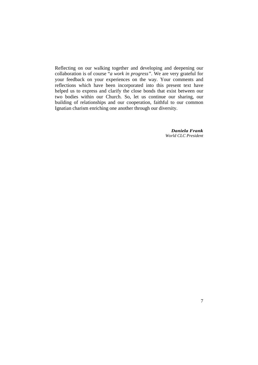Reflecting on our walking together and developing and deepening our collaboration is of course "*a work in progress"*. We are very grateful for your feedback on your experiences on the way. Your comments and reflections which have been incorporated into this present text have helped us to express and clarify the close bonds that exist between our two bodies within our Church. So, let us continue our sharing, our building of relationships and our cooperation, faithful to our common Ignatian charism enriching one another through our diversity.

> *Daniela Frank World CLC President*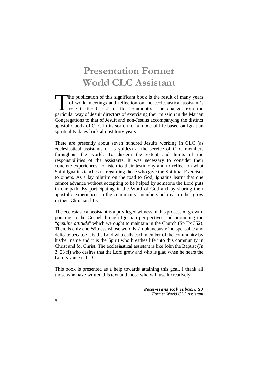# **Presentation Former World CLC Assistant**

he publication of this significant book is the result of many years of work, meetings and reflection on the ecclesiastical assistant's role in the Christian Life Community. The change from the The publication of this significant book is the result of many years of work, meetings and reflection on the ecclesiastical assistant's role in the Christian Life Community. The change from the particular way of Jesuit dir Congregations to that of Jesuit and non-Jesuits accompanying the distinct apostolic body of CLC in its search for a mode of life based on Ignatian spirituality dates back almost forty years.

There are presently about seven hundred Jesuits working in CLC (as ecclesiastical assistants or as guides) at the service of CLC members throughout the world. To discern the extent and limits of the responsibilities of the assistants, it was necessary to consider their concrete experiences, to listen to their testimony and to reflect on what Saint Ignatius teaches us regarding those who give the Spiritual Exercises to others. As a lay pilgrim on the road to God, Ignatius learnt that one cannot advance without accepting to be helped by someone the Lord puts in our path. By participating in the Word of God and by sharing their apostolic experiences in the community, members help each other grow in their Christian life.

The ecclesiastical assistant is a privileged witness in this process of growth, pointing to the Gospel through Ignatian perspectives and promoting the "*genuine attitude*" which we ought to maintain in the Church (Sp Ex 352). There is only one Witness whose word is simultaneously indispensable and delicate because it is the Lord who calls each member of the community by his/her name and it is the Spirit who breathes life into this community in Christ and for Christ. The ecclesiastical assistant is like John the Baptist (Jn 3, 28 ff) who desires that the Lord grow and who is glad when he hears the Lord's voice in CLC.

This book is presented as a help towards attaining this goal. I thank all those who have written this text and those who will use it creatively.

> *Peter-Hans Kolvenbach, SJ Former World CLC Assistant*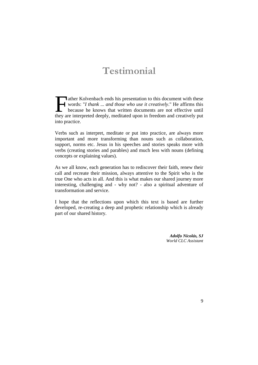# **Testimonial**

ather Kolvenbach ends his presentation to this document with these words: "*I thank ... and those who use it creatively*." He affirms this because he knows that written documents are not effective until ather Kolvenbach ends his presentation to this document with these<br>words: "I thank ... and those who use it creatively." He affirms this<br>because he knows that written documents are not effective until<br>they are interpreted into practice.

Verbs such as interpret, meditate or put into practice, are always more important and more transforming than nouns such as collaboration, support, norms etc. Jesus in his speeches and stories speaks more with verbs (creating stories and parables) and much less with nouns (defining concepts or explaining values).

As we all know, each generation has to rediscover their faith, renew their call and recreate their mission, always attentive to the Spirit who is the true One who acts in all. And this is what makes our shared journey more interesting, challenging and - why not? - also a spiritual adventure of transformation and service.

I hope that the reflections upon which this text is based are further developed, re-creating a deep and prophetic relationship which is already part of our shared history.

> *Adolfo Nicolás, SJ World CLC Assistant*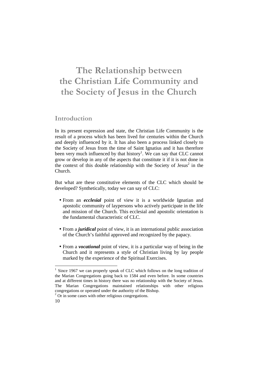## **The Relationship between the Christian Life Community and the Society of Jesus in the Church**

#### **Introduction**

In its present expression and state, the Christian Life Community is the result of a process which has been lived for centuries within the Church and deeply influenced by it. It has also been a process linked closely to the Society of Jesus from the time of Saint Ignatius and it has therefore been very much influenced by that history<sup>1</sup>. We can say that CLC cannot grow or develop in any of the aspects that constitute it if it is not done in the context of this double relationship with the Society of Jesus<sup>2</sup> in the Church.

But what are these constitutive elements of the CLC which should be developed? Synthetically, today we can say of CLC:

- From an *ecclesial* point of view it is a worldwide Ignatian and apostolic community of laypersons who actively participate in the life and mission of the Church. This ecclesial and apostolic orientation is the fundamental characteristic of CLC.
- From a *juridical* point of view, it is an international public association of the Church's faithful approved and recognized by the papacy.
- From a *vocational* point of view, it is a particular way of being in the Church and it represents a style of Christian living by lay people marked by the experience of the Spiritual Exercises.

<sup>1</sup> Since 1967 we can properly speak of CLC which follows on the long tradition of the Marian Congregations going back to 1584 and even before. In some countries and at different times in history there was no relationship with the Society of Jesus. The Marian Congregations maintained relationships with other religious congregations or operated under the authority of the Bishop.

<sup>&</sup>lt;sup>2</sup> Or in some cases with other religious congregations.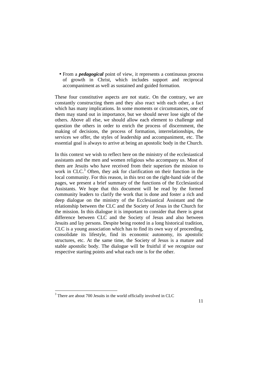• From a *pedagogical* point of view, it represents a continuous process of growth in Christ, which includes support and reciprocal accompaniment as well as sustained and guided formation.

These four constitutive aspects are not static. On the contrary, we are constantly constructing them and they also react with each other, a fact which has many implications. In some moments or circumstances, one of them may stand out in importance, but we should never lose sight of the others. Above all else, we should allow each element to challenge and question the others in order to enrich the process of discernment, the making of decisions, the process of formation, interrelationships, the services we offer, the styles of leadership and accompaniment, etc. The essential goal is always to arrive at being an apostolic body in the Church.

In this context we wish to reflect here on the ministry of the ecclesiastical assistants and the men and women religious who accompany us. Most of them are Jesuits who have received from their superiors the mission to work in CLC.<sup>3</sup> Often, they ask for clarification on their function in the local community. For this reason, in this text on the right-hand side of the pages, we present a brief summary of the functions of the Ecclesiastical Assistants. We hope that this document will be read by the formed community leaders to clarify the work that is done and foster a rich and deep dialogue on the ministry of the Ecclesiastical Assistant and the relationship between the CLC and the Society of Jesus in the Church for the mission. In this dialogue it is important to consider that there is great difference between CLC and the Society of Jesus and also between Jesuits and lay persons. Despite being rooted in a long historical tradition, CLC is a young association which has to find its own way of proceeding, consolidate its lifestyle, find its economic autonomy, its apostolic structures, etc. At the same time, the Society of Jesus is a mature and stable apostolic body. The dialogue will be fruitful if we recognize our respective starting points and what each one is for the other.

<sup>&</sup>lt;sup>3</sup> There are about 700 Jesuits in the world officially involved in CLC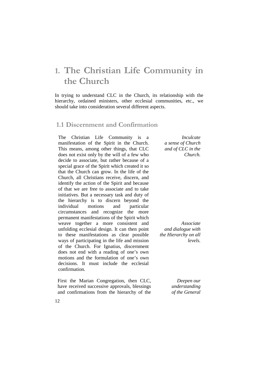## **1. The Christian Life Community in the Church**

In trying to understand CLC in the Church, its relationship with the hierarchy, ordained ministers, other ecclesial communities, etc., we should take into consideration several different aspects.

#### **1.1 Discernment and Confirmation**

The Christian Life Community is a manifestation of the Spirit in the Church. This means, among other things, that CLC does not exist only by the will of a few who decide to associate, but rather because of a special grace of the Spirit which created it so that the Church can grow. In the life of the Church, all Christians receive, discern, and identify the action of the Spirit and because of that we are free to associate and to take initiatives. But a necessary task and duty of the hierarchy is to discern beyond the individual motions and particular circumstances and recognize the more permanent manifestations of the Spirit which weave together a more consistent and unfolding ecclesial design. It can then point to these manifestations as clear possible ways of participating in the life and mission of the Church. For Ignatius, discernment does not end with a reading of one's own motions and the formulation of one's own decisions. It must include the ecclesial confirmation.

First the Marian Congregation, then CLC, have received successive approvals, blessings and confirmations from the hierarchy of the

*Inculcate a sense of Church and of CLC in the Church.*

*Associate and dialogue with the Hierarchy on all levels.*

> *Deepen our understanding of the General*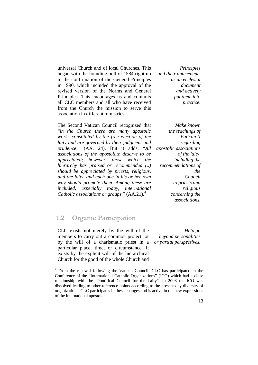universal Church and of local Churches. This began with the founding bull of 1584 right up to the confirmation of the General Principles in 1990, which included the approval of the revised version of the Norms and General Principles. This encourages us and commits all CLC members and all who have received from the Church the mission to serve this association in different ministries.

The Second Vatican Council recognized that "*in the Church there are many apostolic works constituted by the free election of the laity and are governed by their judgment and prudence*." (AA, 24). But it adds: "*All associations of the apostolate deserve to be appreciated; however, those which the hierarchy has praised or recommended (..) should be appreciated by priests, religious, and the laity, and each one in his or her own way should promote them. Among these are included, especially today, international Catholic associations or groups.*" (AA,21).<sup>4</sup>

*Principles and their antecedents as an ecclesial document and actively put them into practice.*

*Make known the teachings of Vatican II regarding apostolic associations of the laity, including the recommendations of the Council to priests and religious concerning the associations.*

#### **1.2 Organic Participation**

<u>.</u>

CLC exists not merely by the will of the members to carry out a common project, or by the will of a charismatic priest in a particular place, time, or circumstance. It exists by the explicit will of the hierarchical Church for the good of the whole Church and

*Help go beyond personalities or partial perspectives.*

<sup>4</sup> From the renewal following the Vatican Council, CLC has participated in the Conference of the "International Catholic Organizations" (ICO) which had a close relationship with the "Pontifical Council for the Laity". In 2008 the ICO was dissolved leading to other reference points according to the present-day diversity of organizations. CLC participates in these changes and is active in the new expressions of the international apostolate.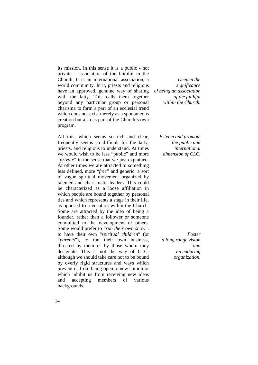its mission. In this sense it is a public - not private - association of the faithful in the Church. It is an international association, a world community. In it, priests and religious have an approved, genuine way of sharing with the laity. This calls them together beyond any particular group or personal charisma to form a part of an ecclesial trend which does not exist merely as a spontaneous creation but also as part of the Church's own program.

All this, which seems so rich and clear, frequently seems so difficult for the laity, priests, and religious to understand. At times we would wish to be less "public" and more "*private*" in the sense that we just explained. At other times we are attracted to something less defined, more "*free*" and generic, a sort of vague spiritual movement organized by talented and charismatic leaders. This could be characterized as a loose affiliation in which people are bound together by personal ties and which represents a stage in their life, as opposed to a vocation within the Church. Some are attracted by the idea of being a founder, rather than a follower or someone committed to the development of others. Some would prefer to "*run their own show*", to have their own "*spiritual children*" (or "*parents*"), to run their own business, directed by them or by those whom they designate. This is not the way of CLC, although we should take care not to be bound by overly rigid structures and ways which prevent us from being open to new stimuli or which inhibit us from receiving new ideas and accepting members of various backgrounds.

*Deepen the significance of being an association of the faithful within the Church.*

*Esteem and promote the public and international dimension of CLC.*

*Foster a long range vision and an enduring organization.*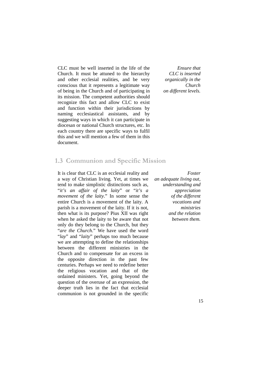CLC must be well inserted in the life of the Church. It must be attuned to the hierarchy and other ecclesial realities, and be very conscious that it represents a legitimate way of being in the Church and of participating in its mission. The competent authorities should recognize this fact and allow CLC to exist and function within their jurisdictions by naming ecclesiastical assistants, and by suggesting ways in which it can participate in diocesan or national Church structures, etc. In each country there are specific ways to fulfil this and we will mention a few of them in this document.

*Ensure that CLC is inserted organically in the Church on different levels.*

#### **1.3 Communion and Specific Mission**

It is clear that CLC is an ecclesial reality and a way of Christian living. Yet, at times we tend to make simplistic distinctions such as, "*it's an affair of the laity*" or "*it's a movement of the laity*." In some sense the entire Church is a movement of the laity. A parish is a movement of the laity. If it is not, then what is its purpose? Pius XII was right when he asked the laity to be aware that not only do they belong to the Church, but they "*are the Church*." We have used the word "*lay*" and "*laity*" perhaps too much because we are attempting to define the relationships between the different ministries in the Church and to compensate for an excess in the opposite direction in the past few centuries. Perhaps we need to redefine better the religious vocation and that of the ordained ministers. Yet, going beyond the question of the overuse of an expression, the deeper truth lies in the fact that ecclesial communion is not grounded in the specific

*Foster an adequate living out, understanding and appreciation of the different vocations and ministries and the relation between them.*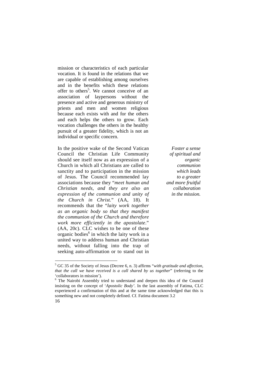mission or characteristics of each particular vocation. It is found in the relations that we are capable of establishing among ourselves and in the benefits which these relations offer to others<sup>5</sup>. We cannot conceive of an association of laypersons without the presence and active and generous ministry of priests and men and women religious because each exists with and for the others and each helps the others to grow. Each vocation challenges the others in the healthy pursuit of a greater fidelity, which is not an individual or specific concern.

In the positive wake of the Second Vatican Council the Christian Life Community should see itself now as an expression of a Church in which all Christians are called to sanctity and to participation in the mission of Jesus. The Council recommended lay associations because they "*meet human and Christian needs, and they are also an expression of the communion and unity of the Church in Christ.*" (AA, 18). It recommends that the "*laity work together as an organic body so that they manifest the communion of the Church and therefore work more efficiently in the apostolate*." (AA, 20c). CLC wishes to be one of these organic bodies<sup>6</sup> in which the laity work in a united way to address human and Christian needs, without falling into the trap of seeking auto-affirmation or to stand out in

*Foster a sense of spiritual and organic communion which leads to a greater and more fruitful collaboration in the mission.*

 5 GC 35 of the Society of Jesus (Decree 6, n. 3) affirms "*with gratitude and affection, that the call we have received is a call shared by us together*" (referring to the 'collaborators in mission').

<sup>&</sup>lt;sup>6</sup> The Nairobi Assembly tried to understand and deepen this idea of the Council insisting on the concept of '*Apostolic Body'*. In the last assembly of Fatima, CLC experienced a confirmation of this and at the same time acknowledged that this is something new and not completely defined. Cf. Fatima document 3.2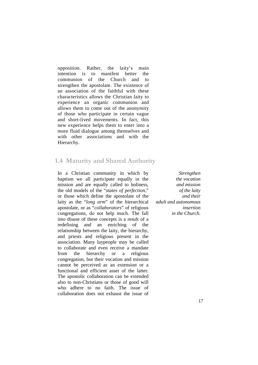opposition. Rather, the laity's main intention is to manifest better the communion of the Church and to strengthen the apostolate. The existence of an association of the faithful with these characteristics allows the Christian laity to experience an organic communion and allows them to come out of the anonymity of those who participate in certain vague and short-lived movements. In fact, this new experience helps them to enter into a more fluid dialogue among themselves and with other associations and with the Hierarchy.

#### **1.4 Maturity and Shared Authority**

In a Christian community in which by baptism we all participate equally in the mission and are equally called to holiness, the old models of the "*states of perfection*," or those which define the apostolate of the laity as the "*long arm*" of the hierarchical apostolate, or as "*collaborators*" of religious congregations, do not help much. The fall into disuse of these concepts is a result of a redefining and an enriching of the relationship between the laity, the hierarchy, and priests and religious present in the association. Many laypeople may be called to collaborate and even receive a mandate from the hierarchy or a religious congregation, but their vocation and mission cannot be perceived as an extension or a functional and efficient asset of the latter. The apostolic collaboration can be extended also to non-Christians or those of good will who adhere to no faith. The issue of collaboration does not exhaust the issue of

*Strengthen the vocation and mission of the laity and their adult and autonomous insertion in the Church.*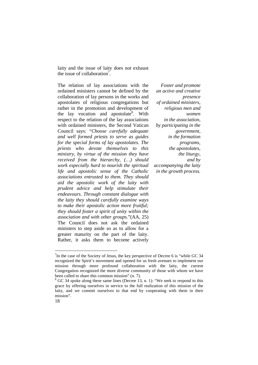laity and the issue of laity does not exhaust the issue of collaboration<sup>7</sup>.

The relation of lay associations with the ordained ministers cannot be defined by the collaboration of lay persons in the works and apostolates of religious congregations but rather in the promotion and development of the lay vocation and apostolate<sup>8</sup>. With respect to the relation of the lay associations with ordained ministers, the Second Vatican Council says: "*Choose carefully adequate and well formed priests to serve as guides for the special forms of lay apostolates. The priests who devote themselves to this ministry, by virtue of the mission they have received from the hierarchy, (…) should work especially hard to nourish the spiritual life and apostolic sense of the Catholic associations entrusted to them. They should aid the apostolic work of the laity with prudent advice and help stimulate their endeavours. Through constant dialogue with the laity they should carefully examine ways to make their apostolic action more fruitful; they should foster a spirit of unity within the association and with other groups.*"(AA, 25) The Council does not ask the ordained ministers to step aside so as to allow for a greater maturity on the part of the laity. Rather, it asks them to become actively

*Foster and promote an active and creative presence of ordained ministers, religious men and women in the association, by participating in the government, in the formation programs, the apostolates, the liturgy, and by accompanying the laity in the growth process.* 

 $7$ In the case of the Society of Jesus, the key perspective of Decree 6 is "while GC 34" recognized the Spirit's movement and opened for us fresh avenues to implement our mission through more profound collaboration with the laity, the current Congregation recognized the more diverse community of those with whom we have been called to share this common mission" (n. 7).

 $8$  GC 34 spoke along these same lines (Decree 13, n. 1): "We seek to respond to this grace by offering ourselves in service to the full realization of this mission of the laity, and we commit ourselves to that end by cooperating with them in their mission".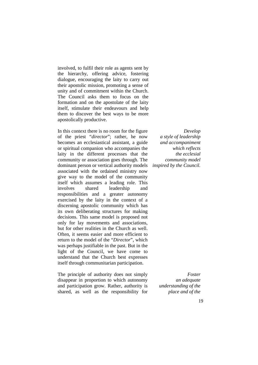involved, to fulfil their role as agents sent by the hierarchy, offering advice, fostering dialogue, encouraging the laity to carry out their apostolic mission, promoting a sense of unity and of commitment within the Church. The Council asks them to focus on the formation and on the apostolate of the laity itself, stimulate their endeavours and help them to discover the best ways to be more apostolically productive.

In this context there is no room for the figure of the priest "*director*"; rather, he now becomes an ecclesiastical assistant, a guide or spiritual companion who accompanies the laity in the different processes that the community or association goes through. The dominant person or vertical authority models associated with the ordained ministry now give way to the model of the community itself which assumes a leading role. This involves shared leadership and responsibilities and a greater autonomy exercised by the laity in the context of a discerning apostolic community which has its own deliberating structures for making decisions. This same model is proposed not only for lay movements and associations, but for other realities in the Church as well. Often, it seems easier and more efficient to return to the model of the "*Director*", which was perhaps justifiable in the past. But in the light of the Council, we have come to understand that the Church best expresses itself through communitarian participation.

The principle of authority does not simply disappear in proportion to which autonomy and participation grow. Rather, authority is shared, as well as the responsibility for

*Develop a style of leadership and accompaniment which reflects the ecclesial community model inspired by the Council.* 

> *Foster an adequate understanding of the place and of the*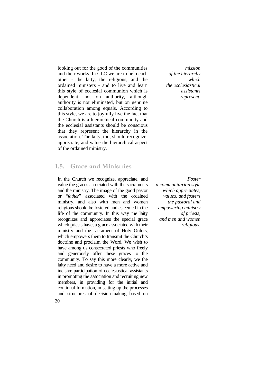looking out for the good of the communities and their works. In CLC we are to help each other - the laity, the religious, and the ordained ministers - and to live and learn this style of ecclesial communion which is dependent, not on authority, although authority is not eliminated, but on genuine collaboration among equals. According to this style, we are to joyfully live the fact that the Church is a hierarchical community and the ecclesial assistants should be conscious that they represent the hierarchy in the association. The laity, too, should recognize, appreciate, and value the hierarchical aspect of the ordained ministry.

#### **1.5. Grace and Ministries**

In the Church we recognize, appreciate, and value the graces associated with the sacraments and the ministry. The image of the good pastor or "*father*" associated with the ordained ministry, and also with men and women religious should be fostered and esteemed in the life of the community. In this way the laity recognizes and appreciates the special grace which priests have, a grace associated with their ministry and the sacrament of Holy Orders, which empowers them to transmit the Church's doctrine and proclaim the Word. We wish to have among us consecrated priests who freely and generously offer these graces to the community. To say this more clearly, we the laity need and desire to have a more active and incisive participation of ecclesiastical assistants in promoting the association and recruiting new members, in providing for the initial and continual formation, in setting up the processes and structures of decision-making based on

*mission of the hierarchy which the ecclesiastical assistants represent.*

*Foster a communitarian style which appreciates, values, and fosters the pastoral and empowering ministry of priests, and men and women religious.*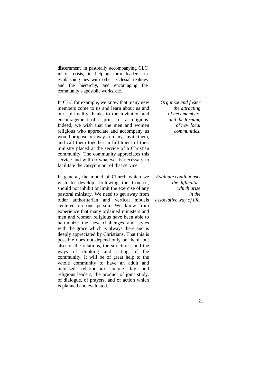discernment, in pastorally accompanying CLC in its crisis, in helping form leaders, in establishing ties with other ecclesial realities and the hierarchy, and encouraging the community's apostolic works, etc.

In CLC for example, we know that many new members come to us and learn about us and our spirituality thanks to the invitation and encouragement of a priest or a religious. Indeed, we wish that the men and women religious who appreciate and accompany us would propose our way to many, invite them, and call them together in fulfilment of their ministry placed at the service of a Christian community. The community appreciates this service and will do whatever is necessary to facilitate the carrying out of that service.

In general, the model of Church which we wish to develop, following the Council, should not inhibit or limit the exercise of any pastoral ministry. We need to get away from older authoritarian and vertical models centered on one person. We know from experience that many ordained ministers and men and women religious have been able to harmonize the new challenges and styles with the grace which is always there and is deeply appreciated by Christians. That this is possible does not depend only on them, but also on the relations, the structures, and the ways of thinking and acting of the community. It will be of great help to the whole community to have an adult and unbiased relationship among lay and religious leaders; the product of joint study, of dialogue, of prayers, and of action which is planned and evaluated.

*Organize and foster the attracting of new members and the forming of new local communities.*

*Evaluate continuously the difficulties which arise in the associative way of life.*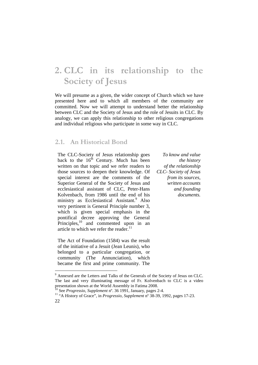## **2. CLC in its relationship to the Society of Jesus**

We will presume as a given, the wider concept of Church which we have presented here and to which all members of the community are committed. Now we will attempt to understand better the relationship between CLC and the Society of Jesus and the role of Jesuits in CLC. By analogy, we can apply this relationship to other religious congregations and individual religious who participate in some way in CLC.

#### **2.1. An Historical Bond**

The CLC-Society of Jesus relationship goes back to the  $16<sup>th</sup>$  Century. Much has been written on that topic and we refer readers to those sources to deepen their knowledge. Of special interest are the comments of the Superior General of the Society of Jesus and ecclesiastical assistant of CLC, Peter-Hans Kolvenbach, from 1986 until the end of his ministry as Ecclesiastical Assistant.<sup>9</sup> Also very pertinent is General Principle number 3, which is given special emphasis in the pontifical decree approving the General Principles,<sup>10</sup> and commented upon in an article to which we refer the reader. $^{11}$ 

The Act of Foundation (1584) was the result of the initiative of a Jesuit (Jean Leunis), who belonged to a particular congregation, or community (The Annunciation), which became the first and prime community. The

<u>.</u>

*To know and value the history of the relationship CLC- Society of Jesus from its sources, written accounts and founding documents.*

<sup>&</sup>lt;sup>9</sup> Annexed are the Letters and Talks of the Generals of the Society of Jesus on CLC. The last and very illuminating message of Fr. Kolvenbach to CLC is a video presentation shown at the World Assembly in Fatima 2008.

<sup>10</sup> See *Progressio*, *Supplement* nº. 36 1991, January, pages 2-4.

<sup>22</sup>  <sup>11</sup> "A History of Grace", in *Progressio, Supplement* nº 38-39, 1992, pages 17-23.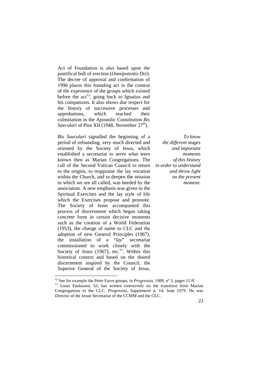Act of Foundation is also based upon the pontifical bull of erection (*Omnipotentis Dei*). The decree of approval and confirmation of 1990 places this founding act in the context of the experience of the groups which existed before the  $act^{12}$ , going back to Ignatius and his companions. It also shows due respect for the history of successive processes and approbations, which reached their culmination in the Apostolic Constitution *Bis Saeculari* of Pius XII (1948, November 27<sup>th</sup>).

*Bis Saeculari* signalled the beginning of a period of refounding, very much directed and oriented by the Society of Jesus, which established a secretariat to serve what were known then as Marian Congregations. The call of the Second Vatican Council to return to the origins, to reappraise the lay vocation within the Church, and to deepen the mission to which we are all called, was heeded by the association. A new emphasis was given to the Spiritual Exercises and the lay style of life which the Exercises propose and promote. The Society of Jesus accompanied this process of discernment which began taking concrete form in certain decisive moments such as the creation of a World Federation (1953), the change of name to CLC and the adoption of new General Principles (1967), the installation of a "*lay*" secretariat commissioned to work closely with the Society of Jesus (1967), etc.<sup>13</sup>. Within this historical context and based on the shared discernment inspired by the Council, the Superior General of the Society of Jesus,

<u>.</u>

*To know the different stages and important moments of this history in order to understand and throw light on the present moment.*

<sup>&</sup>lt;sup>12</sup> See for example the Peter Favre groups, in *Progressio*, 1989, n° 3, pages 11 ff.

<sup>&</sup>lt;sup>13</sup> Louis Paulussen, SJ, has written extensively on the transition from Marian Congregations to the CLC. *Progressio, Supplement* n. 14, June 1979. He was Director of the Jesuit Secretariat of the CCMM and the CLC.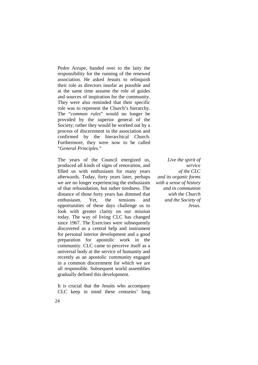Pedro Arrupe, handed over to the laity the responsibility for the running of the renewed association. He asked Jesuits to relinquish their role as directors insofar as possible and at the same time assume the role of guides and sources of inspiration for the community. They were also reminded that their specific role was to represent the Church's hierarchy. The "*common rules*" would no longer be provided by the superior general of the Society; rather they would be worked out by a process of discernment in the association and confirmed by the hierarchical Church. Furthermore, they were now to be called "*General Principles*."

The years of the Council energized us, produced all kinds of signs of renovation, and filled us with enthusiasm for many years afterwards. Today, forty years later, perhaps we are no longer experiencing the enthusiasm of that refoundation, but rather tiredness. The distance of those forty years has dimmed that enthusiasm. Yet, the tensions and opportunities of these days challenge us to look with greater clarity on our mission today. The way of living CLC has changed since 1967. The Exercises were subsequently discovered as a central help and instrument for personal interior development and a good preparation for apostolic work in the community. CLC came to perceive itself as a universal body at the service of humanity and recently as an apostolic community engaged in a common discernment for which we are all responsible. Subsequent world assemblies gradually defined this development.

It is crucial that the Jesuits who accompany CLC keep in mind these centuries' long

*Live the spirit of service of the CLC and its organic forms with a sense of history and in communion with the Church and the Society of Jesus.*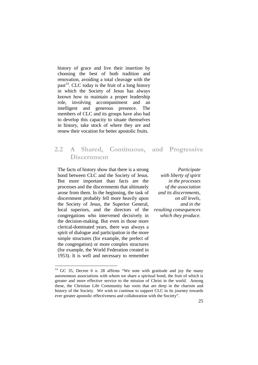history of grace and live their insertion by choosing the best of both tradition and renovation, avoiding a total cleavage with the past<sup>14</sup>. CLC today is the fruit of a long history in which the Society of Jesus has always known how to maintain a proper leadership role, involving accompaniment and an intelligent and generous presence. The members of CLC and its groups have also had to develop this capacity to situate themselves in history, take stock of where they are and renew their vocation for better apostolic fruits.

#### **2.2 A Shared, Continuous, and Progressive Discernment**

The facts of history show that there is a strong bond between CLC and the Society of Jesus. But more important than facts are the processes and the discernments that ultimately arose from them. In the beginning, the task of discernment probably fell more heavily upon the Society of Jesus, the Superior General, local superiors, and the directors of the congregations who intervened decisively in the decision-making. But even in those more clerical-dominated years, there was always a spirit of dialogue and participation in the more simple structures (for example, the prefect of the congregation) or more complex structures (for example, the World Federation created in 1953). It is well and necessary to remember

<u>.</u>

*Participate with liberty of spirit in the processes of the association and its discernments, on all levels, and in the resulting consequences which they produce.*

 $14$  GC 35, Decree 6 n. 28 affirms "We note with gratitude and joy the many autonomous associations with whom we share a spiritual bond, the fruit of which is greater and more effective service to the mission of Christ in the world. Among these, the Christian Life Community has roots that are deep in the charism and history of the Society. We wish to continue to support CLC in its journey towards ever greater apostolic effectiveness and collaboration with the Society".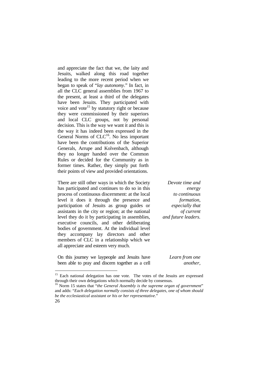and appreciate the fact that we, the laity and Jesuits, walked along this road together leading to the more recent period when we began to speak of "*lay autonomy*." In fact, in all the CLC general assemblies from 1967 to the present, at least a third of the delegates have been Jesuits. They participated with voice and vote<sup>15</sup> by statutory right or because they were commissioned by their superiors and local CLC groups, not by personal decision. This is the way we want it and this is the way it has indeed been expressed in the General Norms of CLC<sup>16</sup>. No less important have been the contributions of the Superior Generals, Arrupe and Kolvenbach, although they no longer handed over the Common Rules or decided for the Community as in former times. Rather, they simply put forth their points of view and provided orientations.

There are still other ways in which the Society has participated and continues to do so in this process of continuous discernment: at the local level it does it through the presence and participation of Jesuits as group guides or assistants in the city or region; at the national level they do it by participating in assemblies, executive councils, and other deliberating bodies of government. At the individual level they accompany lay directors and other members of CLC in a relationship which we all appreciate and esteem very much.

*Devote time and energy to continuous formation, especially that of current and future leaders.*

On this journey we laypeople and Jesuits have been able to pray and discern together as a cell

<u>.</u>

*Learn from one another,*

<sup>&</sup>lt;sup>15</sup> Each national delegation has one vote. The votes of the Jesuits are expressed through their own delegations which normally decide by consensus.

<sup>26</sup>  <sup>16</sup> Norm 15 states that "*the General Assembly is the supreme organ of government*" and adds: "*Each delegation normally consists of three delegates, one of whom should be the ecclesiastical assistant or his or her representative*."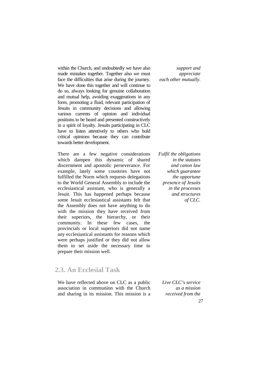within the Church, and undoubtedly we have also made mistakes together. Together also we must face the difficulties that arise during the journey. We have done this together and will continue to do so, always looking for genuine collaboration and mutual help, avoiding exaggerations in any form, promoting a fluid, relevant participation of Jesuits in community decisions and allowing various currents of opinion and individual positions to be heard and presented constructively in a spirit of loyalty. Jesuits participating in CLC have to listen attentively to others who hold critical opinions because they can contribute towards better development.

There are a few negative considerations which dampen this dynamic of shared discernment and apostolic perseverance. For example, lately some countries have not fulfilled the Norm which requests delegations to the World General Assembly to include the ecclesiastical assistant, who is generally a Jesuit. This has happened perhaps because some Jesuit ecclesiastical assistants felt that the Assembly does not have anything to do with the mission they have received from their superiors, the hierarchy, or their community. In these few cases, the provincials or local superiors did not name any ecclesiastical assistants for reasons which were perhaps justified or they did not allow them to set aside the necessary time to prepare their mission well.

#### **2.3. An Ecclesial Task**

We have reflected above on CLC as a public association in communion with the Church and sharing in its mission. This mission is a

*support and appreciate each other mutually.*

*Fulfil the obligations in the statutes and canon law which guarantee the opportune presence of Jesuits in the processes and structures of CLC.*

*Live CLC's service as a mission received from the*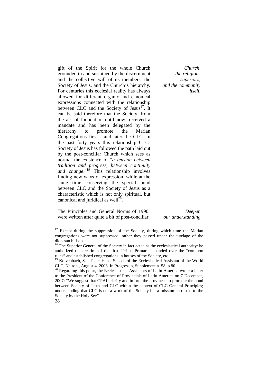gift of the Spirit for the whole Church grounded in and sustained by the discernment and the collective will of its members, the Society of Jesus, and the Church's hierarchy. For centuries this ecclesial reality has always allowed for different organic and canonical expressions connected with the relationship between CLC and the Society of Jesus $<sup>17</sup>$ . It</sup> can be said therefore that the Society, from the act of foundation until now, received a mandate and has been delegated by the hierarchy to promote the Marian Congregations first<sup>18</sup>, and later the CLC. In the past forty years this relationship CLC-Society of Jesus has followed the path laid out by the post-conciliar Church which sees as normal the existence of "*a tension between tradition and progress, between continuity and change*."<sup>19</sup> This relationship involves finding new ways of expression, while at the same time conserving the special bond between CLC and the Society of Jesus as a characteristic which is not only spiritual, but canonical and juridical as well $^{20}$ .

*Church, the religious superiors, and the community itself.*

The Principles and General Norms of 1990 were written after quite a bit of post-conciliar

*Deepen our understanding*

 $17$  Except during the suppression of the Society, during which time the Marian congregations were not suppressed; rather they passed under the tutelage of the diocesan bishops.

<sup>&</sup>lt;sup>18</sup> The Superior General of the Society in fact acted as the ecclesiastical authority: he authorized the creation of the first "Prima Primaria", handed over the "common rules" and established congregations in houses of the Society, etc.

<sup>&</sup>lt;sup>19</sup> Kolvenbach, S.J., Peter-Hans: Speech of the Ecclesiastical Assistant of the World CLC, Nairobi, August 4, 2003. In Progressio, Supplement n. 58. p.80.

<sup>&</sup>lt;sup>20</sup> Regarding this point, the Ecclesiastical Assistants of Latin America wrote a letter to the President of the Conference of Provincials of Latin America on 7 December, 2007: "We suggest that CPAL clarify and inform the provinces to promote the bond between Society of Jesus and CLC within the context of CLC General Principles; understanding that CLC is not a work of the Society but a mission entrusted to the Society by the Holy See".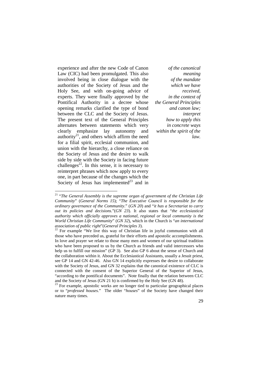experience and after the new Code of Canon Law (CIC) had been promulgated. This also involved being in close dialogue with the authorities of the Society of Jesus and the Holy See, and with on-going advice of experts. They were finally approved by the Pontifical Authority in a decree whose opening remarks clarified the type of bond between the CLC and the Society of Jesus. The present text of the General Principles alternates between statements which very clearly emphasize lay autonomy and authority $^{21}$ , and others which affirm the need for a filial spirit, ecclesial communion, and union with the hierarchy, a close reliance on the Society of Jesus and the desire to walk side by side with the Society in facing future challenges<sup>22</sup>. In this sense, it is necessary to reinterpret phrases which now apply to every one, in part because of the changes which the Society of Jesus has implemented<sup>23</sup> and in

<u>.</u>

*of the canonical meaning of the mandate which we have received, in the context of the General Principles and canon law; interpret how to apply this in concrete ways within the spirit of the law.*

<sup>21</sup> "*The General Assembly is the supreme organ of government of the Christian Life Community*" (*General Norms 15*); "*The Executive Council is responsible for the ordinary governance of the Community*." (*GN 20*) and "*it has a Secretariat to carry out its policies and decisions.*"(*GN 23*). It also states that "*the ecclesiastical authority which officially approves a national, regional or local community is the World Christian Life Community*" (*GN 32*), which in the Church is "*an international association of public right*"(*General Principles 3*).

<sup>&</sup>lt;sup>22</sup> For example "We live this way of Christian life in joyful communion with all those who have preceded us, grateful for their efforts and apostolic accomplishments. In love and prayer we relate to those many men and women of our spiritual tradition who have been proposed to us by the Church as friends and valid intercessors who help us to fulfill our mission" (GP 3). See also GP 6 about the sense of Church and the collaboration within it. About the Ecclesiastical Assistants, usually a Jesuit priest, see GP 14 and GN 42-46. Also GN 14 explicitly expresses the desire to collaborate with the Society of Jesus, and GN 32 explains that the canonical existence of CLC is connected with the consent of the Superior General of the Superior of Jesus, "according to the pontifical documents". Note finally that the relation between CLC and the Society of Jesus (GN 21 b) is confirmed by the Holy See (GN 48).

<sup>&</sup>lt;sup>23</sup> For example, apostolic works are no longer tied to particular geographical places or to "*professed houses*." The older "*houses*" of the Society have changed their nature many times.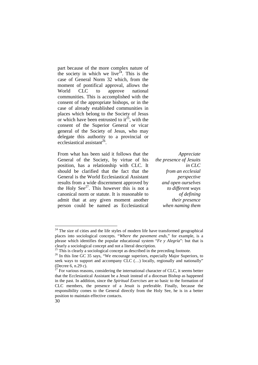part because of the more complex nature of the society in which we live<sup> $24$ </sup>. This is the case of General Norm 32 which, from the moment of pontifical approval, allows the World CLC to approve national communities. This is accomplished with the consent of the appropriate bishops, or in the case of already established communities in places which belong to the Society of Jesus or which have been entrusted to  $it^{25}$ , with the consent of the Superior General or vicar general of the Society of Jesus, who may delegate this authority to a provincial or ecclesiastical assistant<sup>26</sup>.

From what has been said it follows that the General of the Society, by virtue of his position, has a relationship with CLC. It should be clarified that the fact that the General is the World Ecclesiastical Assistant results from a wide discernment approved by the Holy See $^{27}$ . This however this is not a canonical norm or statute. It is reasonable to admit that at any given moment another person could be named as Ecclesiastical

*Appreciate the presence of Jesuits in CLC from an ecclesial perspective and open ourselves to different ways of defining their presence when naming them*

 $24$ <sup>24</sup> The size of cities and the life styles of modern life have transformed geographical places into sociological concepts. "*Where the pavement ends*," for example, is a phrase which identifies the popular educational system "*Fe y Alegría*": but that is clearly a sociological concept and not a literal description.

 $25$  This is clearly a sociological concept as described in the preceding footnote.

 $26$  In this line GC 35 says, "We encourage superiors, especially Major Superiors, to seek ways to support and accompany CLC (...) locally, regionally and nationally" (Decree 6, n.29 c).<br>
<sup>27</sup> E<sub>27</sub>

<sup>27</sup> For various reasons, considering the international character of CLC, it seems better that the Ecclesiastical Assistant be a Jesuit instead of a diocesan Bishop as happened in the past. In addition, since the *Spiritual Exercises* are so basic to the formation of CLC members, the presence of a Jesuit is preferable. Finally, because the responsibility comes to the General directly from the Holy See, he is in a better position to maintain effective contacts.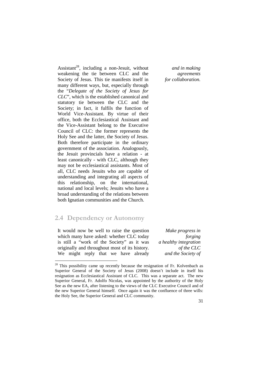Assistant<sup>28</sup>, including a non-Jesuit, without weakening the tie between CLC and the Society of Jesus. This tie manifests itself in many different ways, but, especially through the "*Delegate of the Society of Jesus for CLC*", which is the established canonical and statutory tie between the CLC and the Society; in fact, it fulfils the function of World Vice-Assistant. By virtue of their office, both the Ecclesiastical Assistant and the Vice-Assistant belong to the Executive Council of CLC: the former represents the Holy See and the latter, the Society of Jesus. Both therefore participate in the ordinary government of the association. Analogously, the Jesuit provincials have a relation - at least canonically - with CLC, although they may not be ecclesiastical assistants. Most of all, CLC needs Jesuits who are capable of understanding and integrating all aspects of this relationship, on the international, national and local levels; Jesuits who have a broad understanding of the relations between both Ignatian communities and the Church.

#### **2.4 Dependency or Autonomy**

It would now be well to raise the question which many have asked: whether CLC today is still a "work of the Society" as it was originally and throughout most of its history. We might reply that we have already

<u>.</u>

*Make progress in forging a healthy integration of the CLC and the Society of* 

*and in making agreements for collaboration.* 

 $28$  This possibility came up recently because the resignation of Fr. Kolvenbach as Superior General of the Society of Jesus (2008) doesn't include in itself his resignation as Ecclesiastical Assistant of CLC. This was a separate act. The new Superior General, Fr. Adolfo Nicolas, was appointed by the authority of the Holy See as the new EA, after listening to the views of the CLC Executive Council and of the new Superior General himself. Once again it was the confluence of three wills: the Holy See, the Superior General and CLC community.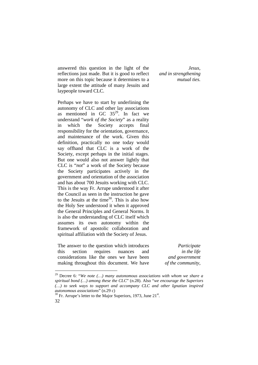answered this question in the light of the reflections just made. But it is good to reflect more on this topic because it determines to a large extent the attitude of many Jesuits and laypeople toward CLC.

Perhaps we have to start by underlining the autonomy of CLC and other lay associations as mentioned in GC  $35^{29}$ . In fact we understand "*work of the Society*" as a reality in which the Society accepts final responsibility for the orientation, governance, and maintenance of the work. Given this definition, practically no one today would say offhand that CLC is a work of the Society, except perhaps in the initial stages. But one would also not answer lightly that CLC is "*not*" a work of the Society because the Society participates actively in the government and orientation of the association and has about 700 Jesuits working with CLC. This is the way Fr. Arrupe understood it after the Council as seen in the instruction he gave to the Jesuits at the time $30$ . This is also how the Holy See understood it when it approved the General Principles and General Norms. It is also the understanding of CLC itself which assumes its own autonomy within the framework of apostolic collaboration and spiritual affiliation with the Society of Jesus.

The answer to the question which introduces this section requires nuances and considerations like the ones we have been making throughout this document. We have

<u>.</u>

*Participate in the life and government of the community,*

*Jesus, and in strengthening mutual ties.*

<sup>29</sup> Decree 6: "*We note (…) many autonomous associations with whom we share a spiritual bond (…) among these the CLC*" (n.28). Also "*we encourage the Superiors (…) to seek ways to support and accompany CLC and other Ignatian inspired autonomous associations*" (n.29 c)

<sup>32</sup>   $30$  Fr. Arrupe's letter to the Major Superiors, 1973, June  $21<sup>st</sup>$ .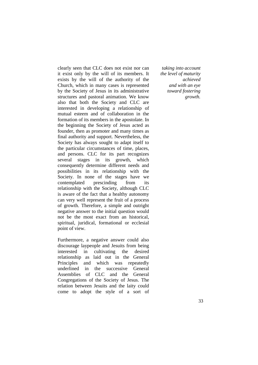clearly seen that CLC does not exist nor can it exist only by the will of its members. It exists by the will of the authority of the Church, which in many cases is represented by the Society of Jesus in its administrative structures and pastoral animation. We know also that both the Society and CLC are interested in developing a relationship of mutual esteem and of collaboration in the formation of its members in the apostolate. In the beginning the Society of Jesus acted as founder, then as promoter and many times as final authority and support. Nevertheless, the Society has always sought to adapt itself to the particular circumstances of time, places, and persons. CLC for its part recognizes several stages in its growth, which consequently determine different needs and possibilities in its relationship with the Society. In none of the stages have we contemplated prescinding from its relationship with the Society, although CLC is aware of the fact that a healthy autonomy can very well represent the fruit of a process of growth. Therefore, a simple and outright negative answer to the initial question would not be the most exact from an historical, spiritual, juridical, formational or ecclesial point of view.

Furthermore, a negative answer could also discourage laypeople and Jesuits from being interested in cultivating the desired relationship as laid out in the General Principles and which was repeatedly underlined in the successive General Assemblies of CLC and the General Congregations of the Society of Jesus. The relation between Jesuits and the laity could come to adopt the style of a sort of

*taking into account the level of maturity achieved and with an eye toward fostering growth.*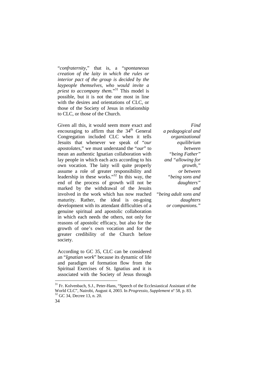"*confraternity*," that is, a "*spontaneous creation of the laity in which the rules or interior pact of the group is decided by the laypeople themselves, who would invite a priest to accompany them.*" <sup>31</sup> This model is possible, but it is not the one most in line with the desires and orientations of CLC, or those of the Society of Jesus in relationship to CLC, or those of the Church.

Given all this, it would seem more exact and encouraging to affirm that the  $34<sup>th</sup>$  General Congregation included CLC when it tells Jesuits that whenever we speak of "*our apostolates*," we must understand the "*our*" to mean an authentic Ignatian collaboration with lay people in which each acts according to his own vocation. The laity will quite properly assume a role of greater responsibility and leadership in these works."<sup>32</sup> In this way, the end of the process of growth will not be marked by the withdrawal of the Jesuits involved in the work which has now reached maturity. Rather, the ideal is on-going development with its attendant difficulties of a genuine spiritual and apostolic collaboration in which each needs the others, not only for reasons of apostolic efficacy, but also for the growth of one's own vocation and for the greater credibility of the Church before society.

According to GC 35, CLC can be considered an "*Ignatian work*" because its dynamic of life and paradigm of formation flow from the Spiritual Exercises of St. Ignatius and it is associated with the Society of Jesus through

*Find a pedagogical and organizational equilibrium between "being Father" and "allowing for growth," or between "being sons and daughters" and "being adult sons and daughters or companions."*

<sup>&</sup>lt;sup>31</sup> Fr. Kolvenbach, S.J., Peter-Hans, "Speech of the Ecclesiastical Assistant of the World CLC", Nairobi, August 4, 2003. In *Progressio*, *Supplement* nº 58, p. 83. <sup>32</sup> GC 34, Decree 13, n. 20.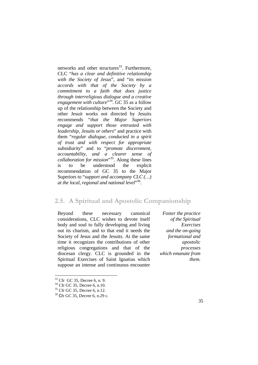networks and other structures<sup>33</sup>. Furthermore, CLC "*has a clear and definitive relationship with the Society of Jesus*", and "*its mission accords with that of the Society by a commitment to a faith that does justice through interreligious dialogue and a creative*  engagement with culture<sup>34</sup>. GC 35 as a follow up of the relationship between the Society and other Jesuit works not directed by Jesuits recommends "*that the Major Superiors engage and support those entrusted with leadership, Jesuits or others*" and practice with them "*regular dialogue, conducted in a spirit of trust and with respect for appropriate subsidiarity*" and to "*promote discernment, accountability, and a clearer sense of collaboration for mission*" <sup>35</sup>. Along these lines is to be understood the explicit recommendation of GC 35 to the Major Superiors to "*support and accompany CLC (…) at the local, regional and national level*" 36 .

#### **2.5. A Spiritual and Apostolic Companionship**

Beyond these necessary canonical considerations, CLC wishes to devote itself body and soul to fully developing and living out its charism, and to that end it needs the Society of Jesus and the Jesuits. At the same time it recognizes the contributions of other religious congregations and that of the diocesan clergy. CLC is grounded in the Spiritual Exercises of Saint Ignatius which suppose an intense and continuous encounter

*Foster the practice of the Spiritual Exercises and the on-going formational and apostolic processes which emanate from them.*

 $33$  Cfr GC 35, Decree 6, n. 9.

<sup>34</sup> Cfr GC 35, Decree 6, n.10.

<sup>35</sup> Cfr GC 35, Decree 6, n.12.

<sup>36</sup> Cfr GC 35, Decree 6, n.29 c.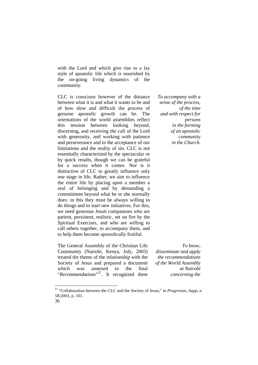with the Lord and which give rise to a lay style of apostolic life which is nourished by the on-going living dynamics of the community.

CLC is conscious however of the distance between what it is and what it wants to be and of how slow and difficult the process of genuine apostolic growth can be. The orientations of the world assemblies reflect this tension between looking beyond, discerning, and receiving the call of the Lord with generosity, and working with patience and perseverance and in the acceptance of our limitations and the reality of sin. CLC is not essentially characterized by the spectacular or by quick results, though we can be grateful for a success when it comes. Nor is it distinctive of CLC to greatly influence only one stage in life. Rather, we aim to influence the entire life by placing upon a member a seal of belonging and by demanding a commitment beyond what he or she normally does: in this they must be always willing to do things and to start new initiatives. For this, we need generous Jesuit companions who are patient, persistent, realistic, set on fire by the Spiritual Exercises, and who are willing to call others together, to accompany them, and to help them become apostolically fruitful.

The General Assembly of the Christian Life Community (Nairobi, Kenya, July, 2003) treated the theme of the relationship with the Society of Jesus and prepared a document which was annexed to the final "Recommendations"<sup>37</sup>. It recognized three *To accompany with a sense of the process, of the time and with respect for persons in the forming of an apostolic community in the Church.*

*To know, disseminate and apply the recommendations of the World Assembly at Nairobi concerning the* 

<sup>37</sup> "Collaboration between the CLC and the Society of Jesus," in *Progressio*, *Supp,* n 58/2003, p. 101.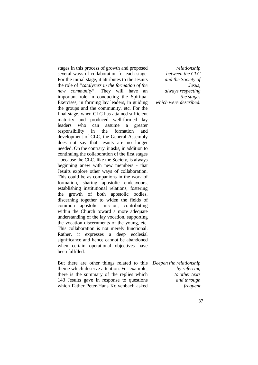stages in this process of growth and proposed several ways of collaboration for each stage. For the initial stage, it attributes to the Jesuits the role of "*catalyzers in the formation of the new community*". They will have an important role in conducting the Spiritual Exercises, in forming lay leaders, in guiding the groups and the community, etc. For the final stage, when CLC has attained sufficient maturity and produced well-formed lay leaders who can assume a greater responsibility in the formation and development of CLC, the General Assembly does not say that Jesuits are no longer needed. On the contrary, it asks, in addition to continuing the collaboration of the first stages - because the CLC, like the Society, is always beginning anew with new members - that Jesuits explore other ways of collaboration. This could be as companions in the work of formation, sharing apostolic endeavours, establishing institutional relations, fostering the growth of both apostolic bodies, discerning together to widen the fields of common apostolic mission, contributing within the Church toward a more adequate understanding of the lay vocation, supporting the vocation discernments of the young, etc. This collaboration is not merely functional. Rather, it expresses a deep ecclesial significance and hence cannot be abandoned when certain operational objectives have been fulfilled.

But there are other things related to this *Deepen the relationship* theme which deserve attention. For example, there is the summary of the replies which 143 Jesuits gave in response to questions which Father Peter-Hans Kolvenbach asked

*relationship between the CLC and the Society of Jesus, always respecting the stages which were described.*

*by referring to other texts and through frequent*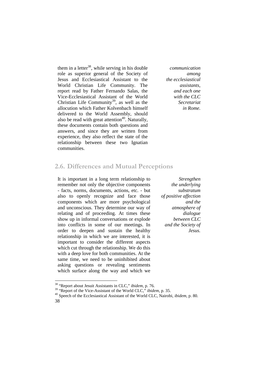them in a letter<sup>38</sup>, while serving in his double role as superior general of the Society of Jesus and Ecclesiastical Assistant to the World Christian Life Community. The report read by Father Fernando Salas, the Vice-Ecclesiastical Assistant of the World Christian Life Community<sup>39</sup>, as well as the allocution which Father Kolvenbach himself delivered to the World Assembly, should also be read with great attention<sup>40</sup>. Naturally, these documents contain both questions and answers, and since they are written from experience, they also reflect the state of the relationship between these two Ignatian communities.

*communication among the ecclesiastical assistants, and each one with the CLC Secretariat in Rome.*

#### **2.6. Differences and Mutual Perceptions**

It is important in a long term relationship to remember not only the objective components - facts, norms, documents, actions, etc. - but also to openly recognize and face those components which are more psychological and unconscious. They determine our way of relating and of proceeding. At times these show up in informal conversations or explode into conflicts in some of our meetings. In order to deepen and sustain the healthy relationship in which we are interested, it is important to consider the different aspects which cut through the relationship. We do this with a deep love for both communities. At the same time, we need to be uninhibited about asking questions or revealing sentiments which surface along the way and which we

*Strengthen the underlying substratum of positive affection and the atmosphere of dialogue between CLC and the Society of Jesus.*

<sup>38</sup> "Report about Jesuit Assistants in CLC," *ibidem*, p. 76.

<sup>39</sup> "Report of the Vice-Assistant of the World CLC," *ibidem*, p. 35.

<sup>38</sup>  <sup>40</sup> Speech of the Ecclesiastical Assistant of the World CLC, Nairobi, *ibidem*, p. 80.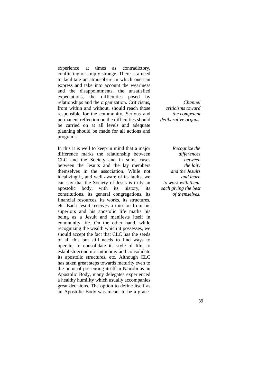experience at times as contradictory, conflicting or simply strange. There is a need to facilitate an atmosphere in which one can express and take into account the weariness and the disappointments, the unsatisfied expectations, the difficulties posed by relationships and the organization. Criticisms, from within and without, should reach those responsible for the community. Serious and permanent reflection on the difficulties should be carried on at all levels and adequate planning should be made for all actions and programs.

In this it is well to keep in mind that a major difference marks the relationship between CLC and the Society and in some cases between the Jesuits and the lay members themselves in the association. While not idealizing it, and well aware of its faults, we can say that the Society of Jesus is truly an apostolic body, with its history, its constitutions, its general congregations, its financial resources, its works, its structures, etc. Each Jesuit receives a mission from his superiors and his apostolic life marks his being as a Jesuit and manifests itself in community life. On the other hand, while recognizing the wealth which it possesses, we should accept the fact that CLC has the seeds of all this but still needs to find ways to operate, to consolidate its style of life, to establish economic autonomy and consolidate its apostolic structures, etc. Although CLC has taken great steps towards maturity even to the point of presenting itself in Nairobi as an Apostolic Body, many delegates experienced a healthy humility which usually accompanies great decisions. The option to define itself as an Apostolic Body was meant to be a grace-

*Channel criticisms toward the competent deliberative organs.*

*Recognize the differences between the laity and the Jesuits and learn to work with them, each giving the best of themselves.*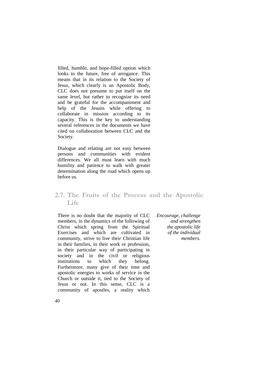filled, humble, and hope-filled option which looks to the future, free of arrogance. This means that in its relation to the Society of Jesus, which clearly is an Apostolic Body, CLC does not presume to put itself on the same level, but rather to recognize its need and be grateful for the accompaniment and help of the Jesuits while offering to collaborate in mission according to its capacity. This is the key to understanding several references in the documents we have cited on collaboration between CLC and the Society.

Dialogue and relating are not easy between persons and communities with evident differences. We all must learn with much humility and patience to walk with greater determination along the road which opens up before us.

#### **2.7. The Fruits of the Process and the Apostolic Life**

There is no doubt that the majority of CLC members, in the dynamics of the following of Christ which spring from the Spiritual Exercises and which are cultivated in community, strive to live their Christian life in their families, in their work or profession, in their particular way of participating in society and in the civil or religious institutions to which they belong. Furthermore, many give of their time and apostolic energies to works of service in the Church or outside it, tied to the Society of Jesus or not. In this sense, CLC is a community of apostles, a reality which

*Encourage, challenge and strengthen the apostolic life of the individual members.*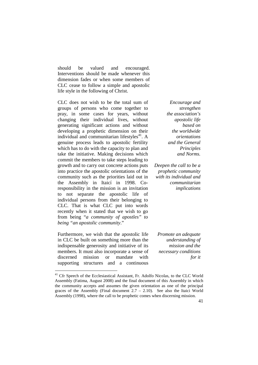should be valued and encouraged. Interventions should be made whenever this dimension fades or when some members of CLC cease to follow a simple and apostolic life style in the following of Christ.

CLC does not wish to be the total sum of groups of persons who come together to pray, in some cases for years, without changing their individual lives, without generating significant actions and without developing a prophetic dimension on their individual and communitarian lifestyles $41$ . A genuine process leads to apostolic fertility which has to do with the capacity to plan and take the initiative. Making decisions which commit the members to take steps leading to growth and to carry out concrete actions puts into practice the apostolic orientations of the community such as the priorities laid out in the Assembly in Itaicí in 1998. Coresponsibility in the mission is an invitation to not separate the apostolic life of individual persons from their belonging to CLC. That is what CLC put into words recently when it stated that we wish to go from being "*a community of apostles" to being "an apostolic community*."

Furthermore, we wish that the apostolic life in CLC be built on something more than the indispensable generosity and initiative of its members. It must also incorporate a sense of discerned mission or mandate with supporting structures and a continuous

<u>.</u>

*Encourage and strengthen the association's apostolic life based on the worldwide orientations and the General Principles and Norms.*

*Deepen the call to be a prophetic community with its individual and communitarian implications*

*Promote an adequate understanding of mission and the necessary conditions for it*

<sup>&</sup>lt;sup>41</sup> Cfr Speech of the Ecclesiastical Assistant, Fr. Adolfo Nicolas, to the CLC World Assembly (Fatima, August 2008) and the final document of this Assembly in which the community accepts and assumes the given orientation as one of the principal graces of the Assembly (Final document  $2.7 - 2.10$ ). See also the Itaici World Assembly (1998), where the call to be prophetic comes when discerning mission.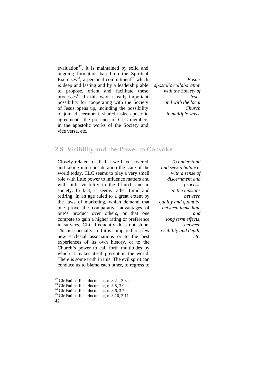evaluation<sup>42</sup>. It is maintained by solid and ongoing formation based on the Spiritual Exercises<sup>43</sup>, a personal commitment<sup>44</sup> which is deep and lasting and by a leadership able to propose, orient and facilitate these processes<sup>45</sup>. In this way a really important possibility for cooperating with the Society of Jesus opens up, including the possibility of joint discernment, shared tasks, apostolic agreements, the presence of CLC members in the apostolic works of the Society and vice versa, etc.

*Foster apostolic collaboration with the Society of Jesus and with the local Church in multiple ways.*

#### **2.8 Visibility and the Power to Convoke**

Closely related to all that we have covered, and taking into consideration the state of the world today, CLC seems to play a very small role with little power to influence matters and with little visibility in the Church and in society. In fact, it seems rather timid and retiring. In an age ruled to a great extent by the laws of marketing, which demand that one prove the comparative advantages of one's product over others, or that one compete to gain a higher rating or preference in surveys, CLC frequently does not shine. This is especially so if it is compared to a few new ecclesial associations or to the best experiences of its own history, or to the Church's power to call forth multitudes by which it makes itself present in the world. There is some truth in this. The evil spirit can conduce us to blame each other, to regress to

<u>.</u>

*To understand and seek a balance, with a sense of discernment and process, in the tensions between quality and quantity, between immediate and long term effects, between visibility and depth, etc.*

<sup>&</sup>lt;sup>42</sup> Cfr Fatima final document, n.  $3.2 - 3.3$  a

<sup>43</sup> Cfr Fatima final document, n. 3.8, 3.9

<sup>&</sup>lt;sup>44</sup> Cfr Fatima final document, n. 3.6, 3.7

<sup>42</sup>  <sup>45</sup> Cfr Fatima final document, n. 3.10, 3.11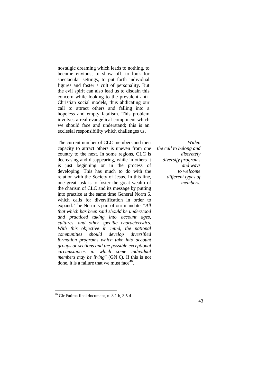nostalgic dreaming which leads to nothing, to become envious, to show off, to look for spectacular settings, to put forth individual figures and foster a cult of personality. But the evil spirit can also lead us to disdain this concern while looking to the prevalent anti-Christian social models, thus abdicating our call to attract others and falling into a hopeless and empty fatalism. This problem involves a real evangelical component which we should face and understand; this is an ecclesial responsibility which challenges us.

The current number of CLC members and their capacity to attract others is uneven from one country to the next. In some regions, CLC is decreasing and disappearing, while in others it is just beginning or in the process of developing. This has much to do with the relation with the Society of Jesus. In this line, one great task is to foster the great wealth of the charism of CLC and its message by putting into practice at the same time General Norm 6, which calls for diversification in order to expand. The Norm is part of our mandate: "*All that which has been said should be understood and practiced taking into account ages, cultures, and other specific characteristics. With this objective in mind, the national communities should develop diversified formation programs which take into account groups or sections and the possible exceptional circumstances in which some individual members may be living*" (GN 6). If this is not done, it is a failure that we must face  $46$ .

*Widen the call to belong and discretely diversify programs and ways to welcome different types of members.*

 $46$  Cfr Fatima final document, n. 3.1 b, 3.5 d.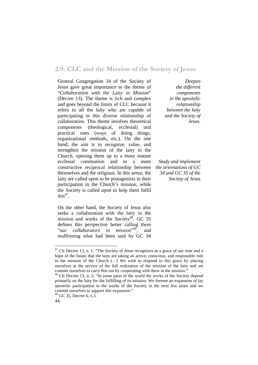#### **2.9. CLC and the Mission of the Society of Jesus**

General Congregation 34 of the Society of Jesus gave great importance to the theme of "*Collaboration with the Laity in Mission*" (Decree 13). The theme is rich and complex and goes beyond the limits of CLC because it refers to all the laity who are capable of participating in this diverse relationship of collaboration. This theme involves theoretical components (theological, ecclesial) and practical ones (ways of doing things, organizational methods, etc.). On the one hand, the aim is to recognize, value, and strengthen the mission of the laity in the Church, opening them up to a more mature ecclesial communion and to a more constructive reciprocal relationship between themselves and the religious. In this sense, the laity are called upon to be protagonists in their participation in the Church's mission, while the Society is called upon to help them fulfil this $47$ .

On the other hand, the Society of Jesus also seeks a collaboration with the laity in the mission and works of the Society<sup>48</sup>. GC 35 defines this perspective better calling them "*our collaborators in mission*" <sup>49</sup>, and reaffirming what had been said by GC 34

*Deepen the different components in the apostolic relationship between the laity and the Society of Jesus.*

*Study and implement the orientations of GC 34 and GC 35 of the Society of Jesus*

 $47$  Cfr Decree 13, n. 1: "The Society of Jesus recognizes as a grace of our time and a hope of the future that the laity are taking an active, conscious, and responsible role in the mission of the Church (…) We wish to respond to this grace by placing ourselves at the service of the full realization of the mission of the laity and we commit ourselves to carry this out by cooperating with them in the mission."

<sup>&</sup>lt;sup>48</sup> Cfr Decree 13, n. 2: "In some parts of the world the works of the Society depend primarily on the laity for the fulfilling of its mission. We foresee an expansion of lay apostolic participation in the works of the Society in the next few years and we commit ourselves to support this expansion."

 $49$  GC 35, Decree 6, n.3.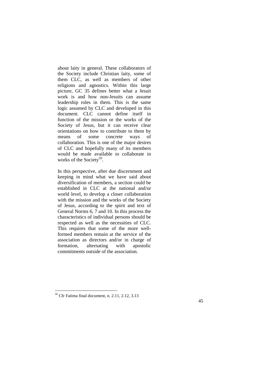about laity in general. These collaborators of the Society include Christian laity, some of them CLC, as well as members of other religions and agnostics. Within this large picture, GC 35 defines better what a Jesuit work is and how non-Jesuits can assume leadership roles in them. This is the same logic assumed by CLC and developed in this document. CLC cannot define itself in function of the mission or the works of the Society of Jesus, but it can receive clear orientations on how to contribute to them by means of some concrete ways of collaboration. This is one of the major desires of CLC and hopefully many of its members would be made available to collaborate in works of the Society<sup>50</sup>.

In this perspective, after due discernment and keeping in mind what we have said about diversification of members, a section could be established in CLC at the national and/or world level, to develop a closer collaboration with the mission and the works of the Society of Jesus, according to the spirit and text of General Norms 6, 7 and 10. In this process the characteristics of individual persons should be respected as well as the necessities of CLC. This requires that some of the more wellformed members remain at the service of the association as directors and/or in charge of formation, alternating with apostolic commitments outside of the association.

 $50$  Cfr Fatima final document, n. 2.11, 2.12, 3.13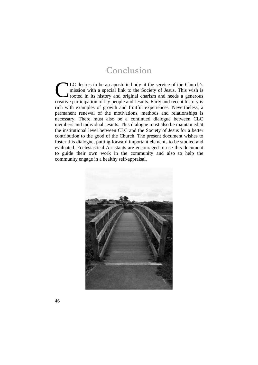### **Conclusion**

LC desires to be an apostolic body at the service of the Church's mission with a special link to the Society of Jesus. This wish is rooted in its history and original charism and needs a generous LC desires to be an apostolic body at the service of the Church's mission with a special link to the Society of Jesus. This wish is rooted in its history and original charism and needs a generous creative participation of rich with examples of growth and fruitful experiences. Nevertheless, a permanent renewal of the motivations, methods and relationships is necessary. There must also be a continued dialogue between CLC members and individual Jesuits. This dialogue must also be maintained at the institutional level between CLC and the Society of Jesus for a better contribution to the good of the Church. The present document wishes to foster this dialogue, putting forward important elements to be studied and evaluated. Ecclesiastical Assistants are encouraged to use this document to guide their own work in the community and also to help the community engage in a healthy self-appraisal.

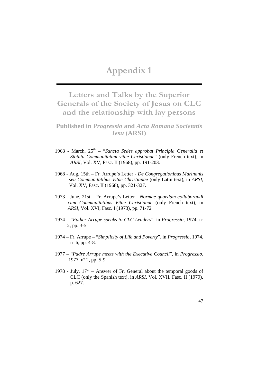### **Appendix 1**

**Letters and Talks by the Superior Generals of the Society of Jesus on CLC and the relationship with lay persons**

**Published in** *Progressio* **and** *Acta Romana Societatis Iesu* **(ARSI)**

- 1968 March, 25th "*Sancta Sedes approbat Principia Generalia et Statuta Communitatum vitae Christianae*" (only French text), in *ARSI*, Vol. XV, Fasc. II (1968), pp. 191-203.
- 1968 Aug, 15th Fr. Arrupe's Letter *De Congregationibus Marinanis seu Communitatibus Vitae Christianae* (only Latin text), in *ARSI*, Vol. XV, Fasc. II (1968), pp. 321-327.
- 1973 June, 21st Fr. Arrupe's Letter *Normae quaedam collaborandi cum Communitatibus Vitae Christianae* (only French text), in *ARSI*, Vol. XVI, Fasc. I (1973), pp. 71-72.
- 1974 "*Father Arrupe speaks to CLC Leaders*", in *Progressio*, 1974, nº 2, pp. 3-5.
- 1974 Fr. Arrupe "*Simplicity of Life and Poverty*", in *Progressio*, 1974, nº 6, pp. 4-8.
- 1977 "*Padre Arrupe meets with the Executive Council*", in *Progressio*, 1977, nº 2, pp. 5-9.
- 1978 July,  $17<sup>th</sup>$  Answer of Fr. General about the temporal goods of CLC (only the Spanish text), in *ARSI*, Vol. XVII, Fasc. II (1979), p. 627.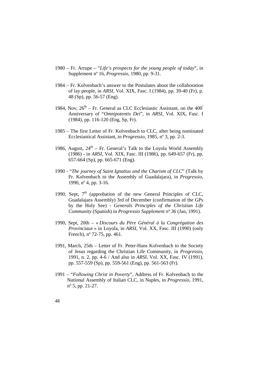- 1980 Fr. Arrupe "*Life's prospects for the young people of today*", in Supplement nº 16, *Progressio*, 1980, pp. 9-31.
- 1984 Fr. Kolvenbach's answer to the Postulates about the collaboration of lay people, in *ARSI*, Vol. XIX, Fasc. I (1984), pp. 39-40 (Fr), p. 48 (Sp), pp. 56-57 (Eng).
- 1984, Nov,  $26^{th}$  Fr. General as CLC Ecclesiastic Assistant, on the 400<sup>°</sup> Anniversary of "*Omnipotentis Dei*", in *ARSI*, Vol. XIX, Fasc. I (1984), pp. 116-120 (Eng, Sp, Fr).
- 1985 The first Letter of Fr. Kolvenbach to CLC, after being nominated Ecclesiastical Assistant, in *Progressio*, 1985, nº 3, pp. 2-3.
- 1986, August,  $24<sup>th</sup> Fr$ . General's Talk to the Lovola World Assembly (1986) - in *ARSI*, Vol. XIX, Fasc. III (1986), pp. 649-657 (Fr), pp. 657-664 (Sp), pp. 665-671 (Eng).
- 1990 "*The journey of Saint Ignatius and the Charism of CLC*" (Talk by Fr. Kolvenbach to the Assembly of Guadalajara), in *Progressio*, 1990, nº 4, pp. 3-16.
- 1990, Sept,  $7<sup>th</sup>$  (approbation of the new General Principles of CLC, Guadalajara Assembly) 3rd of December (confirmation of the GPs by the Holy See) - *Generals Principles of the Christian Life Community* (Spanish) in *Progressio Supplement nº 36* (Jan, 1991).
- 1990, Sept, 20th « *Discours du Père Général à la Congrégation des Provinciaux* » in Loyola, in *ARSI*, Vol. XX, Fasc. III (1990) (only French), nº 72-75, pp. 461.
- 1991, March, 25th Letter of Fr. Peter-Hans Kolvenbach to the Society of Jesus regarding the Christian Life Community, in *Progressio*, 1991, n. 2, pp. 4-6 / And also in *ARSI*, Vol. XX, Fasc. IV (1991), pp. 557-559 (Sp), pp. 559-561 (Eng), pp. 561-563 (Fr).
- 1991 "*Following Christ in Poverty*", Address of Fr. Kolvenbach to the National Assembly of Italian CLC, in Naples, in *Progressio*, 1991, nº 5, pp. 21-27.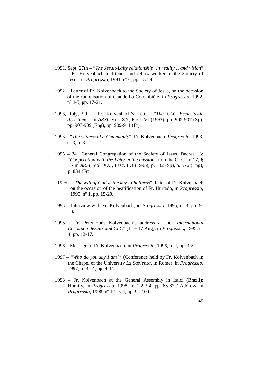- 1991, Sept, 27th "*The Jesuit-Laity relationship. In reality… and vision*" - Fr. Kolvenbach to friends and fellow-worker of the Society of Jesus, in *Progressio*, 1991, nº 6, pp. 15-24.
- 1992 Letter of Fr. Kolvenbach to the Society of Jesus, on the occasion of the canonisation of Claude La Colombière, in *Progressio*, 1992, nº 4-5, pp. 17-21.
- 1993, July, 9th Fr. Kolvenbach's Letter: "*The CLC Ecclesiastic Assistant*s", in *ARSI*, Vol. XX, Fasc. VI (1993), pp. 905-907 (Sp), pp. 907-909 (Eng), pp. 909-911 (Fr).
- 1993 "*The witness of a Community*", Fr. Kolvenbach, *Progressio*, 1993, nº 3, p. 3.
- $1995 34<sup>th</sup>$  General Congregation of the Society of Jesus, Decree 13: "*Cooperation with the Laity in the mission*" / on the CLC: nº 17, § 1 / in *ARSI*, Vol. XXI, Fasc. II,1 (1995), p. 332 (Sp), p. 576 (Eng), p. 834 (Fr).
- 1995 "*The will of God is the key to holiness*", letter of Fr. Kolvenbach on the occasion of the beatification of Fr. Hurtado, in *Progressio*, 1995, nº 1, pp. 15-20.
- 1995 Interview with Fr. Kolvenbach, in *Progressio*, 1995, nº 3, pp. 9- 13.
- 1995 Fr. Peter-Hans Kolvenbach's address at the "*International Encounter Jesuits and CLC*" (11 – 17 Aug), in *Progressio*, 1995, nº 4, pp. 12-17.
- 1996 Message of Fr. Kolvenbach, in *Progressio*, 1996, n. 4, pp. 4-5.
- 1997 "*Who do you say I am?*" (Conference held by Fr. Kolvenbach in the Chapel of the University *La Sapienza*, in Rome), in *Progressio*, 1997, nº 3 - 4, pp. 4-14.
- 1998 Fr. Kolvenbach at the General Assembly in Itaicí (Brazil): Homily, in *Progressio*, 1998, nº 1-2-3-4, pp. 86-87 / Address, in *Progressio*, 1998, nº 1-2-3-4, pp. 94-100.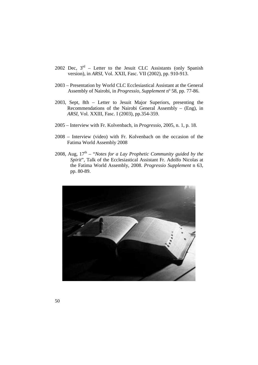- 2002 Dec,  $3<sup>rd</sup>$  Letter to the Jesuit CLC Assistants (only Spanish version), in *ARSI*, Vol. XXII, Fasc. VII (2002), pp. 910-913.
- 2003 Presentation by World CLC Ecclesiastical Assistant at the General Assembly of Nairobi, in *Progressio*, *Supplement* nº 58, pp. 77-86.
- 2003, Sept, 8th Letter to Jesuit Major Superiors, presenting the Recommendations of the Nairobi General Assembly – (Eng), in *ARSI*, Vol. XXIII, Fasc. I (2003), pp.354-359.
- 2005 Interview with Fr. Kolvenbach, in *Progressio*, 2005, n. 1, p. 18.
- 2008 Interview (video) with Fr. Kolvenbach on the occasion of the Fatima World Assembly 2008
- 2008, Aug,  $17<sup>th</sup> "Notes for a Lay Prophetic Community guided by the$ *Spirit*", Talk of the Ecclesiastical Assistant Fr. Adolfo Nicolas at the Fatima World Assembly, 2008. *Progressio Supplement* n 63, pp. 80-89.

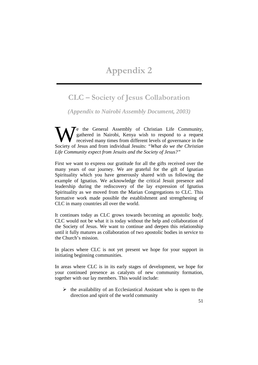### **Appendix 2**

### **CLC – Society of Jesus Collaboration**

*(Appendix to Nairobi Assembly Document, 2003)* 

Te the General Assembly of Christian Life Community, gathered in Nairobi, Kenya wish to respond to a request received many times from different levels of governance in the We the General Assembly of Christian Life Community, gathered in Nairobi, Kenya wish to respond to a request received many times from different levels of governance in the Society of Jesus and from individual Jesuits: *"Wh Life Community expect from Jesuits and the Society of Jesus?"*

First we want to express our gratitude for all the gifts received over the many years of our journey. We are grateful for the gift of Ignatian Spirituality which you have generously shared with us following the example of Ignatius. We acknowledge the critical Jesuit presence and leadership during the rediscovery of the lay expression of Ignatius Spirituality as we moved from the Marian Congregations to CLC. This formative work made possible the establishment and strengthening of CLC in many countries all over the world.

It continues today as CLC grows towards becoming an apostolic body. CLC would not be what it is today without the help and collaboration of the Society of Jesus. We want to continue and deepen this relationship until it fully matures as collaboration of two apostolic bodies in service to the Church's mission.

In places where CLC is not yet present we hope for your support in initiating beginning communities.

In areas where CLC is in its early stages of development, we hope for your continued presence as catalysts of new community formation, together with our lay members. This would include:

 $\triangleright$  the availability of an Ecclesiastical Assistant who is open to the direction and spirit of the world community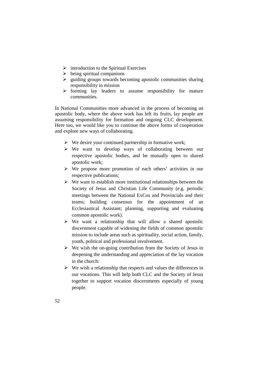- $\triangleright$  introduction to the Spiritual Exercises
- $\triangleright$  being spiritual companions
- $\triangleright$  guiding groups towards becoming apostolic communities sharing responsibility in mission
- $\triangleright$  forming lay leaders to assume responsibility for mature communities.

In National Communities more advanced in the process of becoming an apostolic body, where the above work has left its fruits, lay people are assuming responsibility for formation and ongoing CLC development. Here too, we would like you to continue the above forms of cooperation and explore new ways of collaborating.

- $\triangleright$  We desire your continued partnership in formative work;
- $\triangleright$  We want to develop ways of collaborating between our respective apostolic bodies, and be mutually open to shared apostolic work;
- $\triangleright$  We propose more promotion of each others' activities in our respective publications;
- $\triangleright$  We want to establish more institutional relationships between the Society of Jesus and Christian Life Community (e.g. periodic meetings between the National ExCos and Provincials and their teams; building consensus for the appointment of an Ecclesiastical Assistant; planning, supporting and evaluating common apostolic work).
- $\triangleright$  We want a relationship that will allow a shared apostolic discernment capable of widening the fields of common apostolic mission to include areas such as spirituality, social action, family, youth, political and professional involvement.
- $\triangleright$  We wish the on-going contribution from the Society of Jesus in deepening the understanding and appreciation of the lay vocation in the church:
- $\triangleright$  We wish a relationship that respects and values the differences in our vocations. This will help both CLC and the Society of Jesus together to support vocation discernments especially of young people.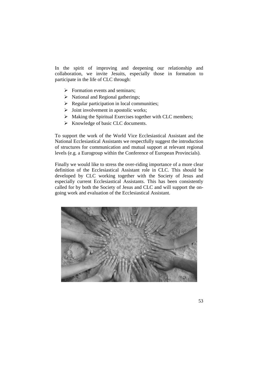In the spirit of improving and deepening our relationship and collaboration, we invite Jesuits, especially those in formation to participate in the life of CLC through:

- $\triangleright$  Formation events and seminars:
- $\triangleright$  National and Regional gatherings;
- $\triangleright$  Regular participation in local communities;
- $\triangleright$  Joint involvement in apostolic works;
- $\triangleright$  Making the Spiritual Exercises together with CLC members;
- $\triangleright$  Knowledge of basic CLC documents.

To support the work of the World Vice Ecclesiastical Assistant and the National Ecclesiastical Assistants we respectfully suggest the introduction of structures for communication and mutual support at relevant regional levels (e.g. a Eurogroup within the Conference of European Provincials).

Finally we would like to stress the over-riding importance of a more clear definition of the Ecclesiastical Assistant role in CLC. This should be developed by CLC working together with the Society of Jesus and especially current Ecclesiastical Assistants. This has been consistently called for by both the Society of Jesus and CLC and will support the ongoing work and evaluation of the Ecclesiastical Assistant.

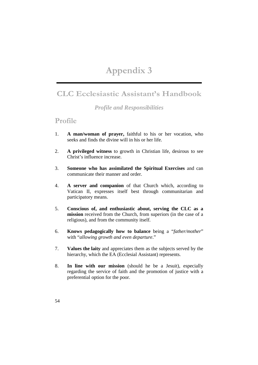## **Appendix 3**

### **CLC Ecclesiastic Assistant's Handbook**

#### *Profile and Responsibilities*

#### **Profile**

- 1. **A man/woman of prayer,** faithful to his or her vocation, who seeks and finds the divine will in his or her life.
- 2. **A privileged witness** to growth in Christian life, desirous to see Christ's influence increase.
- 3. **Someone who has assimilated the Spiritual Exercises** and can communicate their manner and order.
- 4. **A server and companion** of that Church which, according to Vatican II, expresses itself best through communitarian and participatory means.
- 5. **Conscious of, and enthusiastic about, serving the CLC as a mission** received from the Church, from superiors (in the case of a religious), and from the community itself.
- 6. **Knows pedagogically how to balance** being a "*father/mother*" with "*allowing growth and even departure*."
- 7. **Values the laity** and appreciates them as the subjects served by the hierarchy, which the EA (Ecclesial Assistant) represents.
- 8. **In line with our mission** (should he be a Jesuit), especially regarding the service of faith and the promotion of justice with a preferential option for the poor.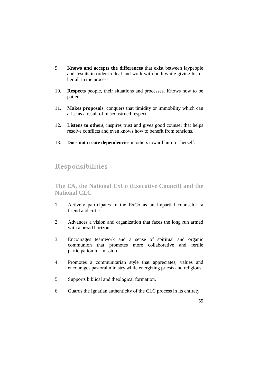- 9. **Knows and accepts the differences** that exist between laypeople and Jesuits in order to deal and work with both while giving his or her all in the process.
- 10. **Respects** people, their situations and processes. Knows how to be patient.
- 11. **Makes proposals**, conquers that timidity or immobility which can arise as a result of misconstrued respect.
- 12. **Listens to others**, inspires trust and gives good counsel that helps resolve conflicts and even knows how to benefit from tensions.
- 13. **Does not create dependencies** in others toward him- or herself.

### **Responsibilities**

**The EA, the National ExCo (Executive Council) and the National CLC** 

- 1. Actively participates in the ExCo as an impartial counselor, a friend and critic.
- 2. Advances a vision and organization that faces the long run armed with a broad horizon.
- 3. Encourages teamwork and a sense of spiritual and organic communion that promotes more collaborative and fertile participation for mission.
- 4. Promotes a communitarian style that appreciates, values and encourages pastoral ministry while energizing priests and religious.
- 5. Supports biblical and theological formation.
- 6. Guards the Ignatian authenticity of the CLC process in its entirety.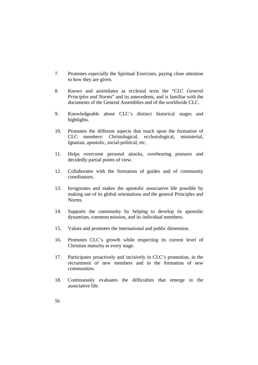- 7. Promotes especially the Spiritual Exercises, paying close attention to how they are given.
- 8. Knows and assimilates as ecclesial texts the "*CLC General Principles and Norms*" and its antecedents, and is familiar with the documents of the General Assemblies and of the worldwide CLC.
- 9. Knowledgeable about CLC's distinct historical stages and highlights.
- 10. Promotes the different aspects that touch upon the formation of CLC members: Christological, ecclesiological, ministerial, Ignatian, apostolic, social-political, etc.
- 11. Helps overcome personal attacks, overbearing postures and decidedly partial points of view.
- 12. Collaborates with the formation of guides and of community coordinators.
- 13. Invigorates and makes the apostolic associative life possible by making use of its global orientations and the general Principles and Norms.
- 14. Supports the community by helping to develop its apostolic dynamism, common mission, and its individual members.
- 15. Values and promotes the international and public dimension.
- 16. Promotes CLC's growth while respecting its current level of Christian maturity at every stage.
- 17. Participates proactively and incisively in CLC's promotion, in the recruitment of new members and in the formation of new communities.
- 18. Continuously evaluates the difficulties that emerge in the associative life.
- 56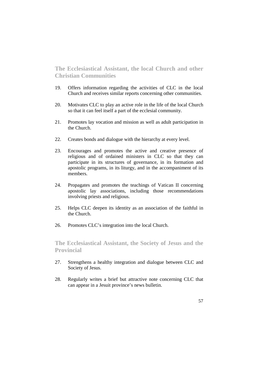**The Ecclesiastical Assistant, the local Church and other Christian Communities** 

- 19. Offers information regarding the activities of CLC in the local Church and receives similar reports concerning other communities.
- 20. Motivates CLC to play an active role in the life of the local Church so that it can feel itself a part of the ecclesial community.
- 21. Promotes lay vocation and mission as well as adult participation in the Church.
- 22. Creates bonds and dialogue with the hierarchy at every level.
- 23. Encourages and promotes the active and creative presence of religious and of ordained ministers in CLC so that they can participate in its structures of governance, in its formation and apostolic programs, in its liturgy, and in the accompaniment of its members.
- 24. Propagates and promotes the teachings of Vatican II concerning apostolic lay associations, including those recommendations involving priests and religious.
- 25. Helps CLC deepen its identity as an association of the faithful in the Church.
- 26. Promotes CLC's integration into the local Church.

**The Ecclesiastical Assistant, the Society of Jesus and the Provincial** 

- 27. Strengthens a healthy integration and dialogue between CLC and Society of Jesus.
- 28. Regularly writes a brief but attractive note concerning CLC that can appear in a Jesuit province's news bulletin.